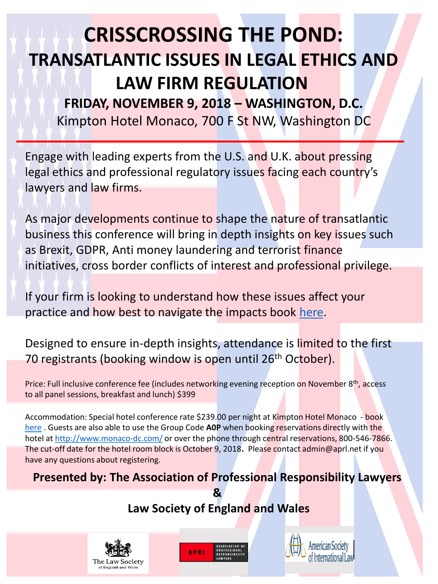# **CRISSCROSSING THE POND: TRANSATLANTIC ISSUES IN LEGAL ETHICS AND LAW FIRM REGULATION**

**FRIDAY, NOVEMBER 9, 2018 – WASHINGTON, D.C.** Kimpton Hotel Monaco, 700 F St NW, Washington DC

Engage with leading experts from the U.S. and U.K. about pressing legal ethics and professional regulatory issues facing each country's lawyers and law firms.

As major developments continue to shape the nature of transatlantic business this conference will bring in depth insights on key issues such as Brexit, GDPR, Anti money laundering and terrorist finance initiatives, cross border conflicts of interest and professional privilege.

If your firm is looking to understand how these issues affect your practice and how best to navigate the impacts book [here.](https://aprl.net/events/2018-washington-dc/)

Designed to ensure in-depth insights, attendance is limited to the first 70 registrants (booking window is open until 26<sup>th</sup> October).

Price: Full inclusive conference fee (includes networking evening reception on November 8th, access to all panel sessions, breakfast and lunch) \$399

Accommodation: Special hotel conference rate \$239.00 per night at Kimpton Hotel Monaco - book [here](https://www.ihg.com/kimptonhotels/hotels/us/en/find-hotels/hotel/rooms?qDest=700 F Street NW Washington District of Columbia United States&qCiMy=102018&qCiD=8&qCoMy=102018&qCoD=10&qAdlt=1&qChld=0&qRms=1&qRtP=6CBARC&qIta=99801505&qGrpCd=A0P&qSlH=WDCMO&qAkamaiCC=US&qSrt=sBR&qBrs=re.ic.in.vn.cp.vx.hi.ex.rs.cv.sb.cw.ma.ul.ki.va&qAAR=6CBARC&qWch=0&qSmP=1&setPMCookies=true&qRad=30&icdv=99801505) . Guests are also able to use the Group Code **A0P** when booking reservations directly with the hotel at <http://www.monaco-dc.com/> or over the phone through central reservations, 800-546-7866. The cut-off date for the hotel room block is October 9, 2018**.** Please contact admin@aprl.net if you have any questions about registering.

## **Presented by: The Association of Professional Responsibility Lawyers**

**& Law Society of England and Wales**





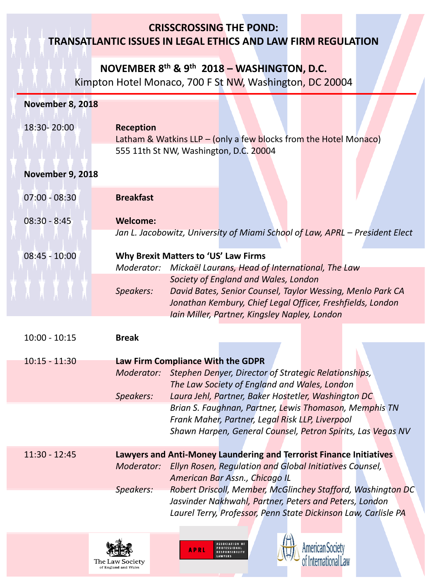#### **CRISSCROSSING THE POND:**

#### **TRANSATLANTIC ISSUES IN LEGAL ETHICS AND LAW FIRM REGULATION**

#### **NOVEMBER 8th & 9th 2018 – WASHINGTON, D.C.**

Kimpton Hotel Monaco, 700 F St NW, Washington, DC 20004

| <b>November 8, 2018</b> |                  |                                                                                                                                                                  |
|-------------------------|------------------|------------------------------------------------------------------------------------------------------------------------------------------------------------------|
| 18:30-20:00             | <b>Reception</b> | Latham & Watkins LLP $-$ (only a few blocks from the Hotel Monaco)                                                                                               |
|                         |                  | 555 11th St NW, Washington, D.C. 20004                                                                                                                           |
| November 9, 2018        |                  |                                                                                                                                                                  |
| $07:00 - 08:30$         | <b>Breakfast</b> |                                                                                                                                                                  |
| $08:30 - 8:45$          | <b>Welcome:</b>  | Jan L. Jacobowitz, University of Miami School of Law, APRL - President Elect                                                                                     |
| $08:45 - 10:00$         | Moderator:       | Why Brexit Matters to 'US' Law Firms<br>Mickaël Laurans, Head of International, The Law                                                                          |
|                         | Speakers:        | Society of England and Wales, London<br>David Bates, Senior Counsel, Taylor Wessing, Menlo Park CA<br>Jonathan Kembury, Chief Legal Officer, Freshfields, London |
|                         |                  | Iain Miller, Partner, Kingsley Napley, London                                                                                                                    |
| $10:00 - 10:15$         | <b>Break</b>     |                                                                                                                                                                  |
| $10:15 - 11:30$         |                  | Law Firm Compliance With the GDPR                                                                                                                                |
|                         | Moderator:       | Stephen Denyer, Director of Strategic Relationships,<br>The Law Society of England and Wales, London                                                             |
|                         | Speakers:        | Laura Jehl, Partner, Baker Hostetler, Washington DC                                                                                                              |
|                         |                  | Brian S. Faughnan, Partner, Lewis Thomason, Memphis TN<br>Frank Maher, Partner, Legal Risk LLP, Liverpool                                                        |
|                         |                  | Shawn Harpen, General Counsel, Petron Spirits, Las Vegas NV                                                                                                      |
| 11:30 - 12:45           |                  | Lawyers and Anti-Money Laundering and Terrorist Finance Initiatives                                                                                              |
|                         | Moderator:       | Ellyn Rosen, Regulation and Global Initiatives Counsel,<br>American Bar Assn., Chicago IL                                                                        |
|                         | Speakers:        | Robert Driscoll, Member, McGlinchey Stafford, Washington DC                                                                                                      |
|                         |                  | Jasvinder Nakhwahl, Partner, Peters and Peters, London                                                                                                           |
|                         |                  | Laurel Terry, Professor, Penn State Dickinson Law, Carlisle PA                                                                                                   |